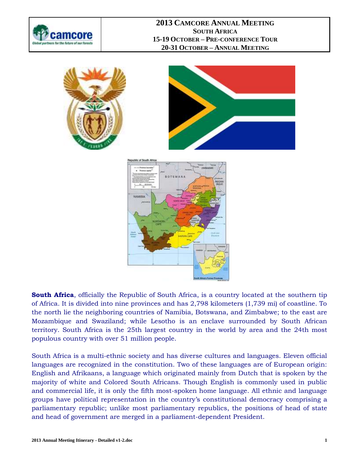







**South Africa**, officially the Republic of South Africa, is a country located at the southern tip of Africa. It is divided into nine provinces and has 2,798 kilometers (1,739 mi) of coastline. To the north lie the neighboring countries of [Namibia,](http://en.wikipedia.org/wiki/Namibia) [Botswana,](http://en.wikipedia.org/wiki/Botswana) and [Zimbabwe;](http://en.wikipedia.org/wiki/Zimbabwe) to the east are [Mozambique](http://en.wikipedia.org/wiki/Mozambique) and [Swaziland;](http://en.wikipedia.org/wiki/Swaziland) while [Lesotho](http://en.wikipedia.org/wiki/Lesotho) is an [enclave](http://en.wikipedia.org/wiki/Enclave_and_exclave) surrounded by South African territory. South Africa is the [25th](http://en.wikipedia.org/wiki/List_of_countries_and_outlying_territories_by_total_area) largest country in the world by area and the [24th](http://en.wikipedia.org/wiki/List_of_countries_by_population) most populous country with [over 51 million people.](http://en.wikipedia.org/wiki/Demographics_of_South_Africa)

South Africa is a [multi-ethnic society](http://en.wikipedia.org/wiki/Multiethnic_society) and has diverse cultures and languages. Eleven official languages are recognized in the [constitution.](http://en.wikipedia.org/wiki/Constitution_of_South_Africa) Two of these languages are of European origin: [English](http://en.wikipedia.org/wiki/South_African_English) and [Afrikaans,](http://en.wikipedia.org/wiki/Afrikaans) a language which originated mainly from [Dutch](http://en.wikipedia.org/wiki/Dutch_language) that is spoken by the majority of [white](http://en.wikipedia.org/wiki/White_South_African) and [Colored](http://en.wikipedia.org/wiki/Coloured) South Africans. Though English is commonly used in public and commercial life, it is only the fifth most-spoken home language. All ethnic and language groups have political representation in the country's [constitutional democracy](http://en.wikipedia.org/wiki/Liberal_democracy) comprising a [parliamentary republic;](http://en.wikipedia.org/wiki/Parliamentary_republic) unlike most parliamentary republics, the positions of [head of state](http://en.wikipedia.org/wiki/Head_of_state) and [head of government](http://en.wikipedia.org/wiki/Head_of_government) are merged in a parliament-dependent [President.](http://en.wikipedia.org/wiki/President_of_South_Africa)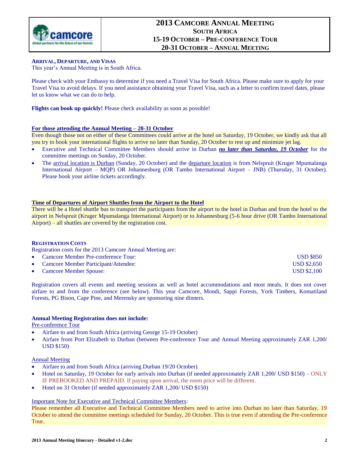

### **ARRIVAL, DEPARTURE, AND VISAS**

This year's Annual Meeting is in South Africa.

Please check with your Embassy to determine if you need a Travel Visa for South Africa. Please make sure to apply for your Travel Visa to avoid delays. If you need assistance obtaining your Travel Visa, such as a letter to confirm travel dates, please let us know what we can do to help.

**Flights can book up quickly!** Please check availability as soon as possible!

### **For those attending the Annual Meeting – 20-31 October**

Even though those not on either of these Committees could arrive at the hotel on Saturday, 19 October, we kindly ask that all you try to book your international flights to arrive no later than Sunday, 20 October to rest up and minimize jet lag.

- Executive and Technical Committee Members should arrive in Durban *no later than Saturday, 19 October* for the committee meetings on Sunday, 20 October.
- The arrival location is Durban (Sunday, 20 October) and the departure location is from Nelspruit (Kruger Mpumalanga International Airport – MQP) OR [Johannesburg](http://en.wikipedia.org/wiki/Johannesburg) (OR Tambo International Airport – JNB) (Thursday, 31 October). Please book your airline tickets accordingly.

### **Time of Departures of Airport Shuttles from the Airport to the Hotel**

There will be a Hotel shuttle bus to transport the participants from the airport to the hotel in Durban and from the hotel to the airport in Nelspruit (Kruger Mpumalanga International Airport) or to Johannesburg (5-6 hour drive (OR Tambo International Airport) – all shuttles are covered by the registration cost.

### **REGISTRATION COSTS**

Registration costs for the 2013 Camcore Annual Meeting are:

- Camcore Member Pre-conference Tour: USD \$850 Camcore Member Participant/Attendee: USD \$2,650
- Camcore Member Spouse: USD \$2,100

Registration covers all events and meeting sessions as well as hotel accommodations and most meals. It does not cover airfare to and from the conference (see below). This year Camcore, Mondi, Sappi Forests, York Timbers, Komatiland Forests, PG Bison, Cape Pine, and Merensky are sponsoring nine dinners.

### **Annual Meeting Registration does not include:**

Pre-conference Tour

- Airfare to and from South Africa (arriving George 15-19 October)
- Airfare from Port Elizabeth to Durban (between Pre-conference Tour and Annual Meeting approximately ZAR 1,200/ USD \$150)

### Annual Meeting

- Airfare to and from South Africa (arriving Durban 19/20 October)
- Hotel on Saturday, 19 October for early arrivals into Durban (if needed approximately ZAR 1,200/ USD \$150) ONLY IF PREBOOKED AND PREPAID. If paying upon arrival, the room price will be different.
- Hotel on 31 October (if needed approximately ZAR 1,200/ USD \$150)

### Important Note for Executive and Technical Committee Members:

Please remember all Executive and Technical Committee Members need to arrive into Durban no later than Saturday, 19 October to attend the committee meetings scheduled for Sunday, 20 October. This is true even if attending the Pre-conference Tour.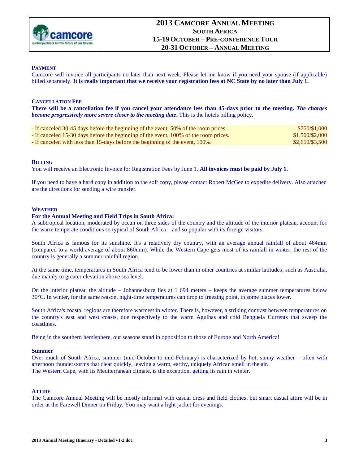

### **PAYMENT**

Camcore will invoice all participants no later than next week. Please let me know if you need your spouse (if applicable) billed separately. **It is really important that we receive your registration fees at NC State by no later than July 1.**

### **CANCELLATION FEE**

**There will be a cancellation fee if you cancel your attendance less than 45-days prior to the meeting.** *The charges become progressively more severe closer to the meeting date***.** This is the hotels billing policy.

| - If canceled 30-45 days before the beginning of the event, 50% of the room prices.  | \$750/\$1,000   |
|--------------------------------------------------------------------------------------|-----------------|
| - If canceled 15-30 days before the beginning of the event, 100% of the room prices. | \$1,500/\$2,000 |
| - If canceled with less than 15-days before the beginning of the event, 100%.        | \$2,650/\$3,500 |

#### **BILLING**

You will receive an Electronic Invoice for Registration Fees by June 1. **All invoices must be paid by July 1.**

If you need to have a hard copy in addition to the soft copy, please contact Robert McGee to expedite delivery. Also attached are the directions for sending a wire transfer.

### **WEATHER**

#### **For the Annual Meeting and Field Trips in South Africa:**

A subtropical location, moderated by ocean on three sides of the country and the altitude of the interior plateau, account for the warm temperate conditions so typical of South Africa – and so popular with its foreign visitors.

South Africa is famous for its sunshine. It's a relatively dry country, with an average annual rainfall of about 464mm (compared to a world average of about 860mm). While the Western Cape gets most of its rainfall in winter, the rest of the country is generally a summer-rainfall region.

At the same time, temperatures in South Africa tend to be lower than in other countries at similar latitudes, such as Australia, due mainly to greater elevation above sea level.

On the interior plateau the altitude – Johannesburg lies at 1 694 meters – keeps the average summer temperatures below 30°C. In winter, for the same reason, night-time temperatures can drop to freezing point, in some places lower.

South Africa's coastal regions are therefore warmest in winter. There is, however, a striking contrast between temperatures on the country's east and west coasts, due respectively to the warm Agulhas and cold Benguela Currents that sweep the coastlines.

Being in the southern hemisphere, our seasons stand in opposition to those of Europe and North America!

#### **Summer**

Over much of South Africa, summer (mid-October to mid-February) is characterized by hot, sunny weather – often with afternoon thunderstorms that clear quickly, leaving a warm, earthy, uniquely African smell in the air. The Western Cape, with its Mediterranean climate, is the exception, getting its rain in winter.

### **ATTIRE**

The Camcore Annual Meeting will be mostly informal with casual dress and field clothes, but smart casual attire will be in order at the Farewell Dinner on Friday. You may want a light jacket for evenings.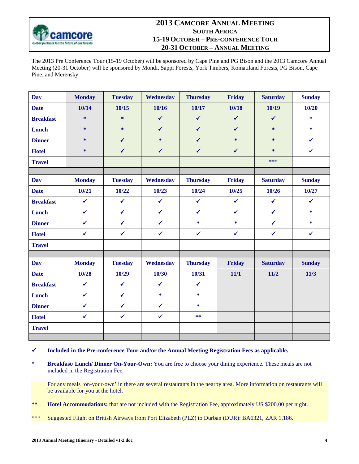

The 2013 Pre Conference Tour (15-19 October) will be sponsored by Cape Pine and PG Bison and the 2013 Camcore Annual Meeting (20-31 October) will be sponsored by Mondi, Sappi Forests, York Timbers, Komatiland Forests, PG Bison, Cape Pine, and Merensky.

| <b>Day</b>       | <b>Monday</b> | <b>Tuesday</b> | Wednesday    | <b>Thursday</b> | Friday       | <b>Saturday</b> | <b>Sunday</b> |
|------------------|---------------|----------------|--------------|-----------------|--------------|-----------------|---------------|
| <b>Date</b>      | 10/14         | 10/15          | 10/16        | 10/17           | 10/18        | 10/19           | 10/20         |
| <b>Breakfast</b> | $\ast$        | $\ast$         | $\checkmark$ | $\checkmark$    | $\checkmark$ | $\checkmark$    | $\ast$        |
| Lunch            | $\ast$        | $\ast$         | $\checkmark$ | $\checkmark$    | $\checkmark$ | $\ast$          | *             |
| <b>Dinner</b>    | $\ast$        | $\checkmark$   | $\ast$       | $\checkmark$    | $*$          | $\ast$          | $\checkmark$  |
| <b>Hotel</b>     | $\ast$        | $\checkmark$   | $\checkmark$ | $\checkmark$    | $\checkmark$ | $\ast$          | $\checkmark$  |
| <b>Travel</b>    |               |                |              |                 |              | ***             |               |
|                  |               |                |              |                 |              |                 |               |
| <b>Day</b>       | <b>Monday</b> | <b>Tuesday</b> | Wednesday    | <b>Thursday</b> | Friday       | <b>Saturday</b> | <b>Sunday</b> |
| <b>Date</b>      | 10/21         | 10/22          | 10/23        | 10/24           | 10/25        | 10/26           | 10/27         |
| <b>Breakfast</b> | $\checkmark$  | $\checkmark$   | $\checkmark$ | $\checkmark$    | $\checkmark$ | $\checkmark$    | $\checkmark$  |
| Lunch            | $\checkmark$  | $\checkmark$   | $\checkmark$ | $\checkmark$    | $\checkmark$ | $\checkmark$    | $\ast$        |
| <b>Dinner</b>    | $\checkmark$  | $\checkmark$   | $\checkmark$ | *               | *            | $\checkmark$    | *             |
| <b>Hotel</b>     | $\checkmark$  | $\checkmark$   | $\checkmark$ | $\checkmark$    | $\checkmark$ | $\checkmark$    | $\checkmark$  |
| <b>Travel</b>    |               |                |              |                 |              |                 |               |
|                  |               |                |              |                 |              |                 |               |
| <b>Day</b>       | <b>Monday</b> | <b>Tuesday</b> | Wednesday    | <b>Thursday</b> | Friday       | <b>Saturday</b> | <b>Sunday</b> |
| <b>Date</b>      | 10/28         | 10/29          | 10/30        | 10/31           | 11/1         | 11/2            | 11/3          |
| <b>Breakfast</b> | $\checkmark$  | $\checkmark$   | $\checkmark$ | $\checkmark$    |              |                 |               |
| Lunch            | $\checkmark$  | $\checkmark$   | *            | *               |              |                 |               |
| <b>Dinner</b>    | $\checkmark$  | $\checkmark$   | $\checkmark$ | $\ast$          |              |                 |               |
| <b>Hotel</b>     | $\checkmark$  | $\checkmark$   | $\checkmark$ | **              |              |                 |               |
| <b>Travel</b>    |               |                |              |                 |              |                 |               |
|                  |               |                |              |                 |              |                 |               |

- **Included in the Pre-conference Tour and/or the Annual Meeting Registration Fees as applicable.**
- **\* Breakfast/ Lunch/ Dinner On-Your-Own:** You are free to choose your dining experience. These meals are not included in the Registration Fee.

For any meals 'on-your-own' in there are several restaurants in the nearby area. More information on restaurants will be available for you at the hotel.

- **\*\* Hotel Accommodations:** that are not included with the Registration Fee, approximately US \$200.00 per night.
- \*\*\* Suggested Flight on British Airways from Port Elizabeth (PLZ) to Durban (DUR): BA6321, ZAR 1,186.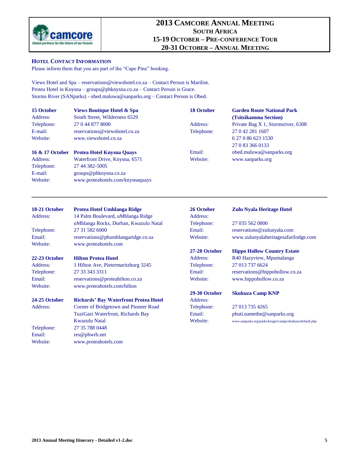

### **HOTEL CONTACT INFORMATION**

Please inform them that you are part of the "Cape Pine" booking.

Views Hotel and Spa – [reservations@viewshotel.co.za](mailto:reservations@viewshotel.co.za) – Contact Person is Marilise. Protea Hotel in Knysna – [groups@phknysna.co.za](mailto:groups@phknysna.co.za) – Contact Person is Grace. Storms River (SANparks) - [obed.maluwa@sanparks.org](mailto:obed.maluwa@sanparks.org) – Contact Person is Obed.

| 15 October      | <b>Views Boutique Hotel &amp; Spa</b>        | <b>18 October</b> | <b>Garden Route National Park</b>                                               |  |  |
|-----------------|----------------------------------------------|-------------------|---------------------------------------------------------------------------------|--|--|
| Address:        | South Street, Wilderness 6529                |                   | (Tsitsikamma Section)<br>Private Bag X 1, Stormsriver, 6308<br>27 0 42 281 1607 |  |  |
| Telephone:      | 27 0 44 877 8000                             | Address:          |                                                                                 |  |  |
| E-mail:         | reservations@viewshotel.co.za                | Telephone:        |                                                                                 |  |  |
| Website:        | www.viewshotel.co.za                         |                   | 6 27 0 86 623 1530                                                              |  |  |
|                 |                                              |                   | 27 0 83 366 0133                                                                |  |  |
| 16 & 17 October | <b>Protea Hotel Knysna Quays</b>             | Email:            | obed.maluwa@sanparks.org                                                        |  |  |
| Address:        | Waterfront Drive, Knysna, 6571               | Website:          | www.sanparks.org                                                                |  |  |
| Telephone:      | 27 44 382-5005                               |                   |                                                                                 |  |  |
| E-mail:         | groups@phknysna.co.za                        |                   |                                                                                 |  |  |
| Website:        | www.proteahotels.com/knysnaquays             |                   |                                                                                 |  |  |
| 18-21 October   | <b>Protea Hotel Umhlanga Ridge</b>           | 26 October        | <b>Zulu Nyala Heritage Hotel</b>                                                |  |  |
| Address:        | 14 Palm Boulevard, uMhlanga Ridge            | Address:          |                                                                                 |  |  |
|                 | uMhlanga Rocks, Durban, Kwazulu Natal        | Telephone:        | 27 035 562 0800                                                                 |  |  |
| Telephone:      | 27 31 582 6000                               | Email:            | reservations@zulunyala.com                                                      |  |  |
| Email:          | reservations@phumhlangaridge.co.za           | Website:          | www.zulunyalaheritagesafarilodge.com                                            |  |  |
| Website:        | www.proteahotels.com                         |                   |                                                                                 |  |  |
|                 |                                              | 27-28 October     | <b>Hippo Hollow Country Estate</b>                                              |  |  |
| 22-23 October   | <b>Hilton Protea Hotel</b>                   | Address:          | R40 Hazyview, Mpumalanga                                                        |  |  |
| Address:        | 1 Hilton Ave, Pietermaritzburg 3245          | Telephone:        | 27 013 737 6624                                                                 |  |  |
| Telephone:      | 27 33 343 3311                               | Email:            | reservations@hippohollow.co.za                                                  |  |  |
| Email:          | reservations@proteahilton.co.za              | Website:          | www.hippohollow.co.za                                                           |  |  |
| Website:        | www.proteahotels.com/hilton                  |                   |                                                                                 |  |  |
|                 |                                              | 29-30 October     | <b>Skukuza Camp KNP</b>                                                         |  |  |
| 24-25 October   | <b>Richards' Bay Waterfront Protea Hotel</b> | Address:          |                                                                                 |  |  |
| Address:        | Corner of Bridgetown and Pioneer Road        | Telephone:        | 27 013 735 4265                                                                 |  |  |
|                 | TuziGazi Waterfront, Richards Bay            | Email:            | phuti.namethe@sanparks.org                                                      |  |  |
|                 | <b>Kwazulu Natal</b>                         | Website:          | www.sanparks.org/parks/kruger/camps/skukuza/default.php                         |  |  |
| Telephone:      | 27 35 788 0448                               |                   |                                                                                 |  |  |
| Email:          | res@phwrb.net                                |                   |                                                                                 |  |  |
| Website:        | www.proteahotels.com                         |                   |                                                                                 |  |  |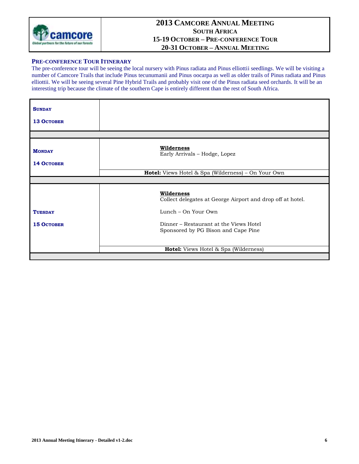

### **PRE-CONFERENCE TOUR ITINERARY**

The pre-conference tour will be seeing the local nursery with Pinus radiata and Pinus elliottii seedlings. We will be visiting a number of Camcore Trails that include Pinus tecunumanii and Pinus oocarpa as well as older trails of Pinus radiata and Pinus elliottii. We will be seeing several Pine Hybrid Trails and probably visit one of the Pinus radiata seed orchards. It will be an interesting trip because the climate of the southern Cape is entirely different than the rest of South Africa.

| <b>SUNDAY</b><br><b>13 OCTOBER</b>  |                                                                                                                                                                                  |
|-------------------------------------|----------------------------------------------------------------------------------------------------------------------------------------------------------------------------------|
|                                     |                                                                                                                                                                                  |
| <b>MONDAY</b><br><b>14 OCTOBER</b>  | Wilderness<br>Early Arrivals - Hodge, Lopez                                                                                                                                      |
|                                     | <b>Hotel:</b> Views Hotel & Spa (Wilderness) - On Your Own                                                                                                                       |
|                                     |                                                                                                                                                                                  |
| <b>TUESDAY</b><br><b>15 OCTOBER</b> | Wilderness<br>Collect delegates at George Airport and drop off at hotel.<br>Lunch – On Your Own<br>Dinner – Restaurant at the Views Hotel<br>Sponsored by PG Bison and Cape Pine |
|                                     | Hotel: Views Hotel & Spa (Wilderness)                                                                                                                                            |
|                                     |                                                                                                                                                                                  |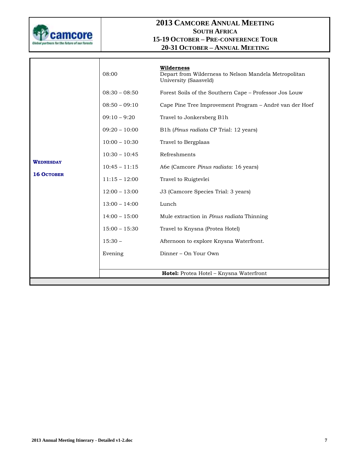

|                   | 08:00           | Wilderness<br>Depart from Wilderness to Nelson Mandela Metropolitan<br>University (Saasveld) |
|-------------------|-----------------|----------------------------------------------------------------------------------------------|
|                   | $08:30 - 08:50$ | Forest Soils of the Southern Cape - Professor Jos Louw                                       |
|                   | $08:50 - 09:10$ | Cape Pine Tree Improvement Program - André van der Hoef                                      |
|                   | $09:10 - 9:20$  | Travel to Jonkersberg B1h                                                                    |
|                   | $09:20 - 10:00$ | B1h (Pinus radiata CP Trial: 12 years)                                                       |
|                   | $10:00 - 10:30$ | Travel to Bergplaas                                                                          |
|                   | $10:30 - 10:45$ | Refreshments                                                                                 |
| <b>WEDNESDAY</b>  | $10:45 - 11:15$ | Abe (Camcore Pinus radiata: 16 years)                                                        |
| <b>16 OCTOBER</b> | $11:15 - 12:00$ | Travel to Ruigtevlei                                                                         |
|                   | $12:00 - 13:00$ | J3 (Camcore Species Trial: 3 years)                                                          |
|                   | $13:00 - 14:00$ | Lunch                                                                                        |
|                   | $14:00 - 15:00$ | Mule extraction in Pinus radiata Thinning                                                    |
|                   | $15:00 - 15:30$ | Travel to Knysna (Protea Hotel)                                                              |
|                   | $15:30 -$       | Afternoon to explore Knysna Waterfront.                                                      |
|                   | Evening         | Dinner - On Your Own                                                                         |
|                   |                 |                                                                                              |
|                   |                 | Hotel: Protea Hotel - Knysna Waterfront                                                      |
|                   |                 |                                                                                              |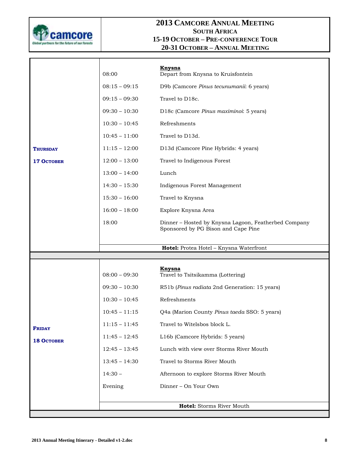

|                   | 08:00           | <b>Knysna</b><br>Depart from Knysna to Kruisfontein                                         |
|-------------------|-----------------|---------------------------------------------------------------------------------------------|
|                   | $08:15 - 09:15$ | D9b (Camcore Pinus tecunumanii: 6 years)                                                    |
|                   | $09:15 - 09:30$ | Travel to D18c.                                                                             |
|                   | $09:30 - 10:30$ | D18c (Camcore Pinus maximinoi: 5 years)                                                     |
|                   | $10:30 - 10:45$ | Refreshments                                                                                |
|                   | $10:45 - 11:00$ | Travel to D13d.                                                                             |
| THURSDAY          | $11:15 - 12:00$ | D13d (Camcore Pine Hybrids: 4 years)                                                        |
| <b>17 OCTOBER</b> | $12:00 - 13:00$ | Travel to Indigenous Forest                                                                 |
|                   | $13:00 - 14:00$ | Lunch                                                                                       |
|                   | $14:30 - 15:30$ | Indigenous Forest Management                                                                |
|                   | $15:30 - 16:00$ | Travel to Knysna                                                                            |
|                   | $16:00 - 18:00$ | Explore Knysna Area                                                                         |
|                   | 18:00           | Dinner - Hosted by Knysna Lagoon, Featherbed Company<br>Sponsored by PG Bison and Cape Pine |
|                   |                 | Hotel: Protea Hotel - Knysna Waterfront                                                     |
|                   |                 |                                                                                             |
|                   | $08:00 - 09:30$ | <b>Knysna</b><br>Travel to Tsitsikamma (Lottering)                                          |
|                   | $09:30 - 10:30$ |                                                                                             |
|                   |                 | R51b (Pinus radiata 2nd Generation: 15 years)                                               |
|                   | $10:30 - 10:45$ | Refreshments                                                                                |
|                   | $10:45 - 11:15$ | Q4a (Marion County Pinus taeda SSO: 5 years)                                                |
|                   | $11:15 - 11:45$ | Travel to Witelsbos block L.                                                                |
| <b>FRIDAY</b>     | $11:45 - 12:45$ | L16b (Camcore Hybrids: 5 years)                                                             |
| <b>18 OCTOBER</b> | $12:45 - 13:45$ | Lunch with view over Storms River Mouth                                                     |
|                   | $13:45 - 14:30$ | Travel to Storms River Mouth                                                                |
|                   | $14:30 -$       | Afternoon to explore Storms River Mouth                                                     |
|                   | Evening         | Dinner - On Your Own                                                                        |
|                   |                 | Hotel: Storms River Mouth                                                                   |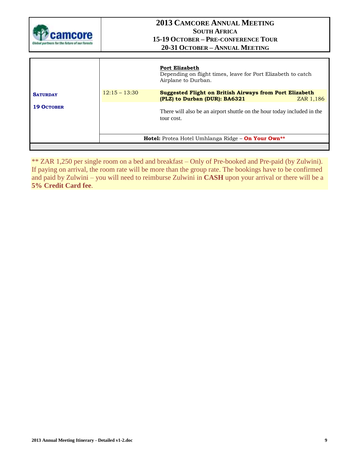

|                   |                 | <b>Port Elizabeth</b><br>Depending on flight times, leave for Port Elizabeth to catch<br>Airplane to Durban. |           |
|-------------------|-----------------|--------------------------------------------------------------------------------------------------------------|-----------|
| <b>SATURDAY</b>   | $12:15 - 13:30$ | <b>Suggested Flight on British Airways from Port Elizabeth</b><br>(PLZ) to Durban (DUR): BA6321              | ZAR 1,186 |
| <b>19 OCTOBER</b> |                 | There will also be an airport shuttle on the hour today included in the<br>tour cost.                        |           |
|                   |                 | <b>Hotel:</b> Protea Hotel Umhlanga Ridge – <b>On Your Own</b> **                                            |           |
|                   |                 |                                                                                                              |           |

\*\* ZAR 1,250 per single room on a bed and breakfast – Only of Pre-booked and Pre-paid (by Zulwini). If paying on arrival, the room rate will be more than the group rate. The bookings have to be confirmed and paid by Zulwini – you will need to reimburse Zulwini in **CASH** upon your arrival or there will be a **5% Credit Card fee**.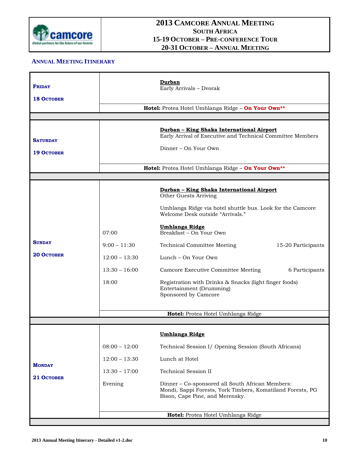

## **ANNUAL MEETING ITINERARY**

| <b>FRIDAY</b><br><b>18 OCTOBER</b>   |                                                                        | Durban<br>Early Arrivals - Dvorak<br>Hotel: Protea Hotel Umhlanga Ridge - On Your Own**                                                                                                                                                                                                                                                                                                                                                                                          |                                      |
|--------------------------------------|------------------------------------------------------------------------|----------------------------------------------------------------------------------------------------------------------------------------------------------------------------------------------------------------------------------------------------------------------------------------------------------------------------------------------------------------------------------------------------------------------------------------------------------------------------------|--------------------------------------|
| <b>SATURDAY</b><br><b>19 OCTOBER</b> |                                                                        | <u> Durban - King Shaka International Airport</u><br>Early Arrival of Executive and Technical Committee Members<br>Dinner – On Your Own<br>Hotel: Protea Hotel Umhlanga Ridge - On Your Own**                                                                                                                                                                                                                                                                                    |                                      |
| <b>SUNDAY</b><br><b>20 OCTOBER</b>   | 07:00<br>$9:00 - 11:30$<br>$12:00 - 13:30$<br>$13:30 - 16:00$<br>18:00 | Durban - King Shaka International Airport<br>Other Guests Arriving<br>Umhlanga Ridge via hotel shuttle bus. Look for the Camcore<br>Welcome Desk outside "Arrivals."<br><b>Umhlanga Ridge</b><br>Breakfast - On Your Own<br><b>Technical Committee Meeting</b><br>Lunch – On Your Own<br>Camcore Executive Committee Meeting<br>Registration with Drinks & Snacks (light finger foods)<br>Entertainment (Drumming)<br>Sponsored by Camcore<br>Hotel: Protea Hotel Umhlanga Ridge | 15-20 Participants<br>6 Participants |
| <b>MONDAY</b><br>21 OCTOBER          | $08:00 - 12:00$<br>$12:00 - 13:30$<br>$13:30 - 17:00$<br>Evening       | <u>Umhlanga Ridge</u><br>Technical Session I/ Opening Session (South Africans)<br>Lunch at Hotel<br><b>Technical Session II</b><br>Dinner - Co-sponsored all South African Members:<br>Mondi, Sappi Forests, York Timbers, Komatiland Forests, PG<br>Bison, Cape Pine, and Merensky.<br>Hotel: Protea Hotel Umhlanga Ridge                                                                                                                                                       |                                      |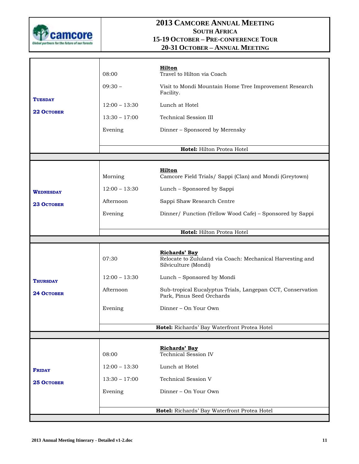

| <b>TUESDAY</b><br>22 OCTOBER | 08:00<br>$09:30 -$<br>$12:00 - 13:30$<br>$13:30 - 17:00$<br>Evening | Hilton<br>Travel to Hilton via Coach<br>Visit to Mondi Mountain Home Tree Improvement Research<br>Facility.<br>Lunch at Hotel<br><b>Technical Session III</b><br>Dinner - Sponsored by Merensky |
|------------------------------|---------------------------------------------------------------------|-------------------------------------------------------------------------------------------------------------------------------------------------------------------------------------------------|
|                              |                                                                     | Hotel: Hilton Protea Hotel                                                                                                                                                                      |
|                              |                                                                     |                                                                                                                                                                                                 |
|                              | Morning                                                             | Hilton<br>Camcore Field Trials/ Sappi (Clan) and Mondi (Greytown)                                                                                                                               |
| <b>WEDNESDAY</b>             | $12:00 - 13:30$                                                     | Lunch - Sponsored by Sappi                                                                                                                                                                      |
| <b>23 OCTOBER</b>            | Afternoon                                                           | Sappi Shaw Research Centre                                                                                                                                                                      |
|                              | Evening                                                             | Dinner/ Function (Yellow Wood Cafe) - Sponsored by Sappi                                                                                                                                        |
|                              |                                                                     |                                                                                                                                                                                                 |
|                              |                                                                     | Hotel: Hilton Protea Hotel                                                                                                                                                                      |
|                              | 07:30                                                               | <b>Richards' Bay</b><br>Relocate to Zululand via Coach: Mechanical Harvesting and                                                                                                               |
|                              |                                                                     | Silviculture (Mondi)                                                                                                                                                                            |
| <b>THURSDAY</b>              | $12:00 - 13:30$                                                     | Lunch - Sponsored by Mondi                                                                                                                                                                      |
| <b>24 OCTOBER</b>            | Afternoon                                                           | Sub-tropical Eucalyptus Trials, Langepan CCT, Conservation<br>Park, Pinus Seed Orchards                                                                                                         |
|                              | Evening                                                             | Dinner – On Your Own                                                                                                                                                                            |
|                              |                                                                     | Hotel: Richards' Bay Waterfront Protea Hotel                                                                                                                                                    |
|                              |                                                                     |                                                                                                                                                                                                 |
|                              |                                                                     |                                                                                                                                                                                                 |
|                              | 08:00                                                               | Richards' Bay<br>Technical Session IV                                                                                                                                                           |
| <b>FRIDAY</b>                | $12:00 - 13:30$                                                     | Lunch at Hotel                                                                                                                                                                                  |
| 25 OCTOBER                   | $13:30 - 17:00$                                                     | <b>Technical Session V</b>                                                                                                                                                                      |
|                              | Evening                                                             | Dinner - On Your Own                                                                                                                                                                            |
|                              |                                                                     | Hotel: Richards' Bay Waterfront Protea Hotel                                                                                                                                                    |
|                              |                                                                     |                                                                                                                                                                                                 |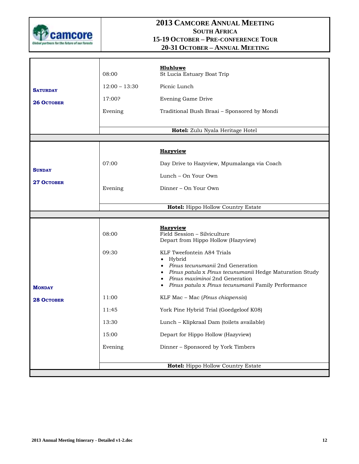

|                   | 08:00           | Hluhluwe<br>St Lucia Estuary Boat Trip                                                                                                                                                                                                    |
|-------------------|-----------------|-------------------------------------------------------------------------------------------------------------------------------------------------------------------------------------------------------------------------------------------|
| <b>SATURDAY</b>   | $12:00 - 13:30$ | Picnic Lunch                                                                                                                                                                                                                              |
| <b>26 OCTOBER</b> | 17:00?          | Evening Game Drive                                                                                                                                                                                                                        |
|                   | Evening         | Traditional Bush Braai - Sponsored by Mondi                                                                                                                                                                                               |
|                   |                 |                                                                                                                                                                                                                                           |
|                   |                 | Hotel: Zulu Nyala Heritage Hotel                                                                                                                                                                                                          |
|                   |                 | <b>Hazyview</b>                                                                                                                                                                                                                           |
|                   | 07:00           | Day Drive to Hazyview, Mpumalanga via Coach                                                                                                                                                                                               |
| <b>SUNDAY</b>     |                 | Lunch - On Your Own                                                                                                                                                                                                                       |
| 27 October        |                 |                                                                                                                                                                                                                                           |
|                   | Evening         | Dinner - On Your Own                                                                                                                                                                                                                      |
|                   |                 | Hotel: Hippo Hollow Country Estate                                                                                                                                                                                                        |
|                   |                 |                                                                                                                                                                                                                                           |
|                   | 08:00           | <b>Hazyview</b><br>Field Session - Silviculture<br>Depart from Hippo Hollow (Hazyview)                                                                                                                                                    |
| <b>MONDAY</b>     | 09:30           | KLF Tweefontein A84 Trials<br>Hybrid<br>Pinus tecunumanii 2nd Generation<br>Pinus patula x Pinus tecunumanii Hedge Maturation Study<br>Pinus maximinoi 2nd Generation<br>Pinus patula x Pinus tecunumanii Family Performance<br>$\bullet$ |
| <b>28 OCTOBER</b> | 11:00           | KLF Mac - Mac (Pinus chiapensis)                                                                                                                                                                                                          |
|                   | 11:45           | York Pine Hybrid Trial (Goedgeloof K08)                                                                                                                                                                                                   |
|                   | 13:30           | Lunch - Klipkraal Dam (toilets available)                                                                                                                                                                                                 |
|                   | 15:00           | Depart for Hippo Hollow (Hazyview)                                                                                                                                                                                                        |
|                   | Evening         | Dinner - Sponsored by York Timbers                                                                                                                                                                                                        |
|                   |                 | Hotel: Hippo Hollow Country Estate                                                                                                                                                                                                        |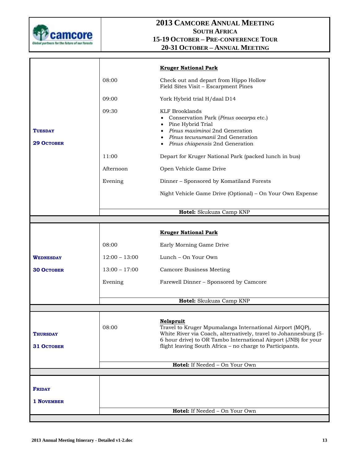

|                                      |                 | <b>Kruger National Park</b>                                                                                                                                                                                                                                                    |
|--------------------------------------|-----------------|--------------------------------------------------------------------------------------------------------------------------------------------------------------------------------------------------------------------------------------------------------------------------------|
|                                      | 08:00           | Check out and depart from Hippo Hollow<br>Field Sites Visit - Escarpment Pines                                                                                                                                                                                                 |
|                                      | 09:00           | York Hybrid trial H/daal D14                                                                                                                                                                                                                                                   |
| TUESDAY<br><b>29 OCTOBER</b>         | 09:30           | <b>KLF Brooklands</b><br>• Conservation Park (Pinus oocarpa etc.)<br>Pine Hybrid Trial<br>$\bullet$<br>• Pinus maximinoi 2nd Generation<br>• Pinus tecunumanii 2nd Generation<br>• Pinus chiapensis 2nd Generation                                                             |
|                                      | 11:00           | Depart for Kruger National Park (packed lunch in bus)                                                                                                                                                                                                                          |
|                                      | Afternoon       | Open Vehicle Game Drive                                                                                                                                                                                                                                                        |
|                                      | Evening         | Dinner - Sponsored by Komatiland Forests                                                                                                                                                                                                                                       |
|                                      |                 | Night Vehicle Game Drive (Optional) – On Your Own Expense                                                                                                                                                                                                                      |
|                                      |                 | Hotel: Skukuza Camp KNP                                                                                                                                                                                                                                                        |
|                                      |                 |                                                                                                                                                                                                                                                                                |
|                                      |                 |                                                                                                                                                                                                                                                                                |
|                                      |                 | <b>Kruger National Park</b>                                                                                                                                                                                                                                                    |
|                                      | 08:00           | Early Morning Game Drive                                                                                                                                                                                                                                                       |
| WEDNESDAY                            | $12:00 - 13:00$ | Lunch – On Your Own                                                                                                                                                                                                                                                            |
| <b>30 OCTOBER</b>                    | $13:00 - 17:00$ | <b>Camcore Business Meeting</b>                                                                                                                                                                                                                                                |
|                                      | Evening         | Farewell Dinner - Sponsored by Camcore                                                                                                                                                                                                                                         |
|                                      |                 | Hotel: Skukuza Camp KNP                                                                                                                                                                                                                                                        |
|                                      |                 |                                                                                                                                                                                                                                                                                |
| <b>THURSDAY</b><br><b>31 OCTOBER</b> | 08:00           | <b>Nelspruit</b><br>Travel to Kruger Mpumalanga International Airport (MQP),<br>White River via Coach, alternatively, travel to Johannesburg (5-<br>6 hour drive) to OR Tambo International Airport (JNB) for your<br>flight leaving South Africa - no charge to Participants. |
|                                      |                 | Hotel: If Needed - On Your Own                                                                                                                                                                                                                                                 |
|                                      |                 |                                                                                                                                                                                                                                                                                |
|                                      |                 |                                                                                                                                                                                                                                                                                |
| <b>FRIDAY</b>                        |                 |                                                                                                                                                                                                                                                                                |
| 1 NOVEMBER                           |                 |                                                                                                                                                                                                                                                                                |
|                                      |                 | Hotel: If Needed - On Your Own                                                                                                                                                                                                                                                 |
|                                      |                 |                                                                                                                                                                                                                                                                                |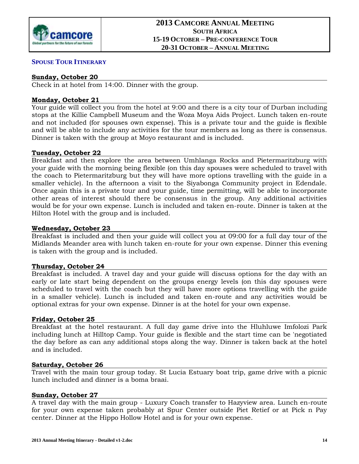

## **SPOUSE TOUR ITINERARY**

## **Sunday, October 20**

Check in at hotel from 14:00. Dinner with the group.

## **Monday, October 21**

Your guide will collect you from the hotel at 9:00 and there is a city tour of Durban including stops at the Killie Campbell Museum and the Woza Moya Aids Project. Lunch taken en-route and not included (for spouses own expense). This is a private tour and the guide is flexible and will be able to include any activities for the tour members as long as there is consensus. Dinner is taken with the group at Moyo restaurant and is included.

## **Tuesday, October 22**

Breakfast and then explore the area between Umhlanga Rocks and Pietermaritzburg with your guide with the morning being flexible (on this day spouses were scheduled to travel with the coach to Pietermaritzburg but they will have more options travelling with the guide in a smaller vehicle). In the afternoon a visit to the Siyabonga Community project in Edendale. Once again this is a private tour and your guide, time permitting, will be able to incorporate other areas of interest should there be consensus in the group. Any additional activities would be for your own expense. Lunch is included and taken en-route. Dinner is taken at the Hilton Hotel with the group and is included.

## **Wednesday, October 23**

Breakfast is included and then your guide will collect you at 09:00 for a full day tour of the Midlands Meander area with lunch taken en-route for your own expense. Dinner this evening is taken with the group and is included.

## **Thursday, October 24**

Breakfast is included. A travel day and your guide will discuss options for the day with an early or late start being dependent on the groups energy levels (on this day spouses were scheduled to travel with the coach but they will have more options travelling with the guide in a smaller vehicle). Lunch is included and taken en-route and any activities would be optional extras for your own expense. Dinner is at the hotel for your own expense.

## **Friday, October 25**

Breakfast at the hotel restaurant. A full day game drive into the Hluhluwe Imfolozi Park including lunch at Hilltop Camp. Your guide is flexible and the start time can be 'negotiated the day before as can any additional stops along the way. Dinner is taken back at the hotel and is included.

## **Saturday, October 26**

Travel with the main tour group today. St Lucia Estuary boat trip, game drive with a picnic lunch included and dinner is a boma braai.

## **Sunday, October 27**

A travel day with the main group - Luxury Coach transfer to Hazyview area. Lunch en-route for your own expense taken probably at Spur Center outside Piet Retief or at Pick n Pay center. Dinner at the Hippo Hollow Hotel and is for your own expense.